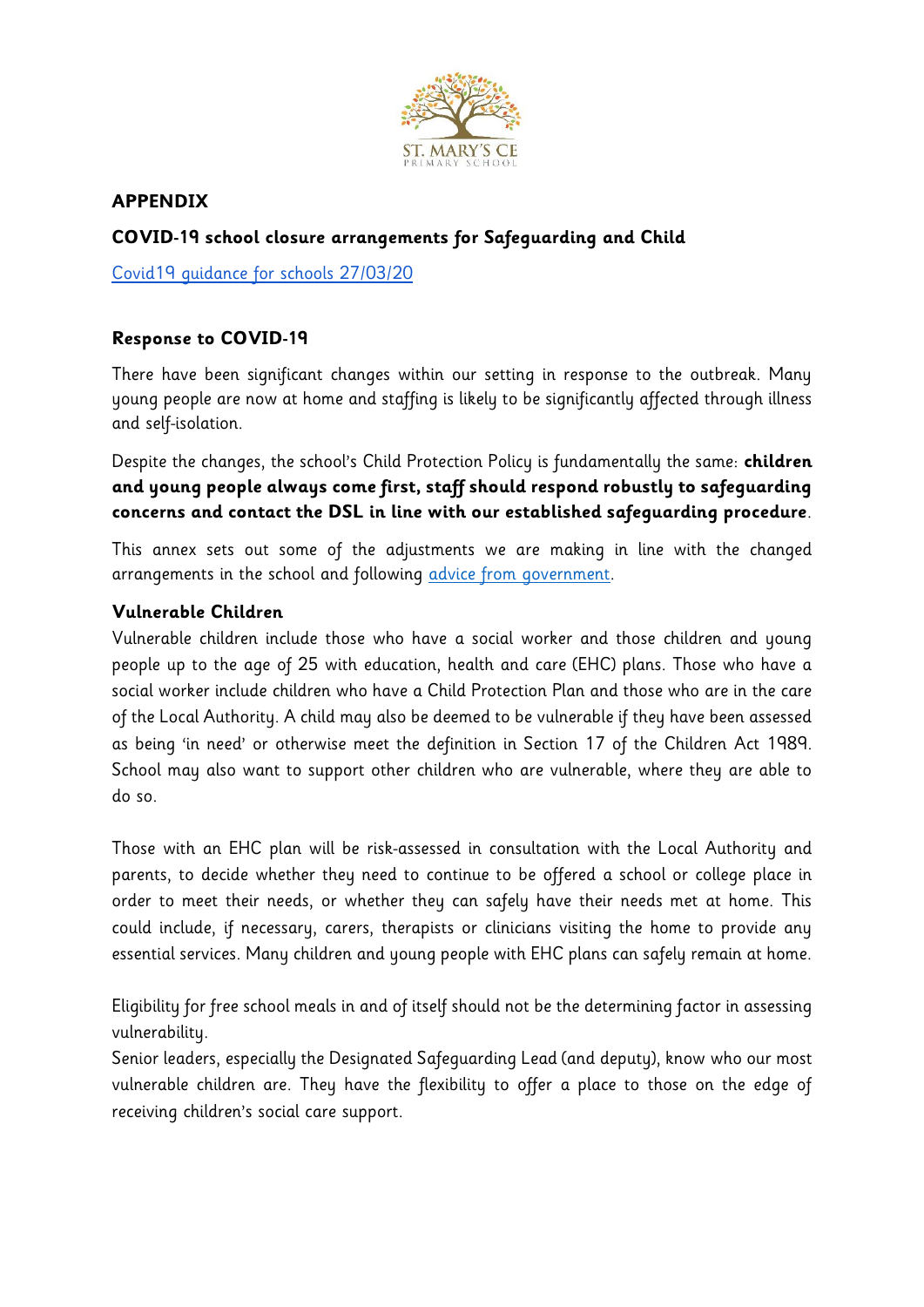

# **APPENDIX**

# **COVID-19 school closure arrangements for Safeguarding and Child**

[Covid19 guidance for schools 27/03/20](https://www.gov.uk/government/publications/covid-19-safeguarding-in-schools-colleges-and-other-providers/coronavirus-covid-19-safeguarding-in-schools-colleges-and-other-providers)

# **Response to COVID-19**

There have been significant changes within our setting in response to the outbreak. Many young people are now at home and staffing is likely to be significantly affected through illness and self-isolation.

Despite the changes, the school's Child Protection Policy is fundamentally the same: **children and young people always come first, staff should respond robustly to safeguarding concerns and contact the DSL in line with our established safeguarding procedure**.

This annex sets out some of the adjustments we are making in line with the changed arrangements in the school and following [advice from government.](https://www.gov.uk/government/publications/covid-19-safeguarding-in-schools-colleges-and-other-providers/coronavirus-covid-19-safeguarding-in-schools-colleges-and-other-providers)

# **Vulnerable Children**

Vulnerable children include those who have a social worker and those children and young people up to the age of 25 with education, health and care (EHC) plans. Those who have a social worker include children who have a Child Protection Plan and those who are in the care of the Local Authority. A child may also be deemed to be vulnerable if they have been assessed as being 'in need' or otherwise meet the definition in Section 17 of the Children Act 1989. School may also want to support other children who are vulnerable, where they are able to do so.

Those with an EHC plan will be risk-assessed in consultation with the Local Authority and parents, to decide whether they need to continue to be offered a school or college place in order to meet their needs, or whether they can safely have their needs met at home. This could include, if necessary, carers, therapists or clinicians visiting the home to provide any essential services. Many children and young people with EHC plans can safely remain at home.

Eligibility for free school meals in and of itself should not be the determining factor in assessing vulnerability.

Senior leaders, especially the Designated Safeguarding Lead (and deputy), know who our most vulnerable children are. They have the flexibility to offer a place to those on the edge of receiving children's social care support.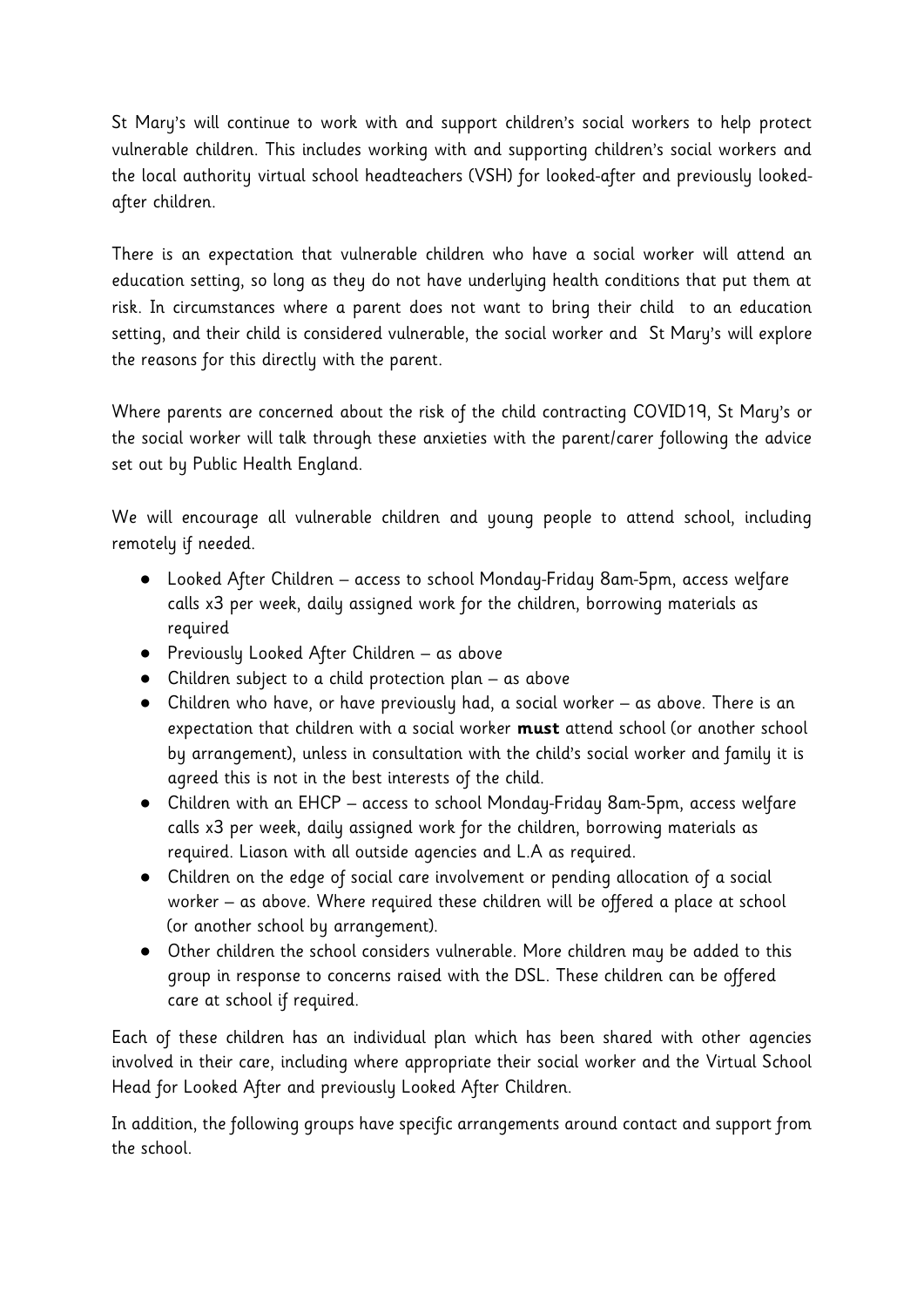St Mary's will continue to work with and support children's social workers to help protect vulnerable children. This includes working with and supporting children's social workers and the local authority virtual school headteachers (VSH) for looked-after and previously lookedafter children.

There is an expectation that vulnerable children who have a social worker will attend an education setting, so long as they do not have underlying health conditions that put them at risk. In circumstances where a parent does not want to bring their child to an education setting, and their child is considered vulnerable, the social worker and St Mary's will explore the reasons for this directly with the parent.

Where parents are concerned about the risk of the child contracting COVID19, St Mary's or the social worker will talk through these anxieties with the parent/carer following the advice set out by Public Health England.

We will encourage all vulnerable children and young people to attend school, including remotely if needed.

- Looked After Children access to school Monday-Friday 8am-5pm, access welfare calls x3 per week, daily assigned work for the children, borrowing materials as required
- Previously Looked After Children as above
- Children subject to a child protection plan as above
- Children who have, or have previously had, a social worker as above. There is an expectation that children with a social worker **must** attend school (or another school by arrangement), unless in consultation with the child's social worker and family it is agreed this is not in the best interests of the child.
- Children with an EHCP access to school Monday-Friday 8am-5pm, access welfare calls x3 per week, daily assigned work for the children, borrowing materials as required. Liason with all outside agencies and L.A as required.
- Children on the edge of social care involvement or pending allocation of a social worker – as above. Where required these children will be offered a place at school (or another school by arrangement).
- Other children the school considers vulnerable. More children may be added to this group in response to concerns raised with the DSL. These children can be offered care at school if required.

Each of these children has an individual plan which has been shared with other agencies involved in their care, including where appropriate their social worker and the Virtual School Head for Looked After and previously Looked After Children.

In addition, the following groups have specific arrangements around contact and support from the school.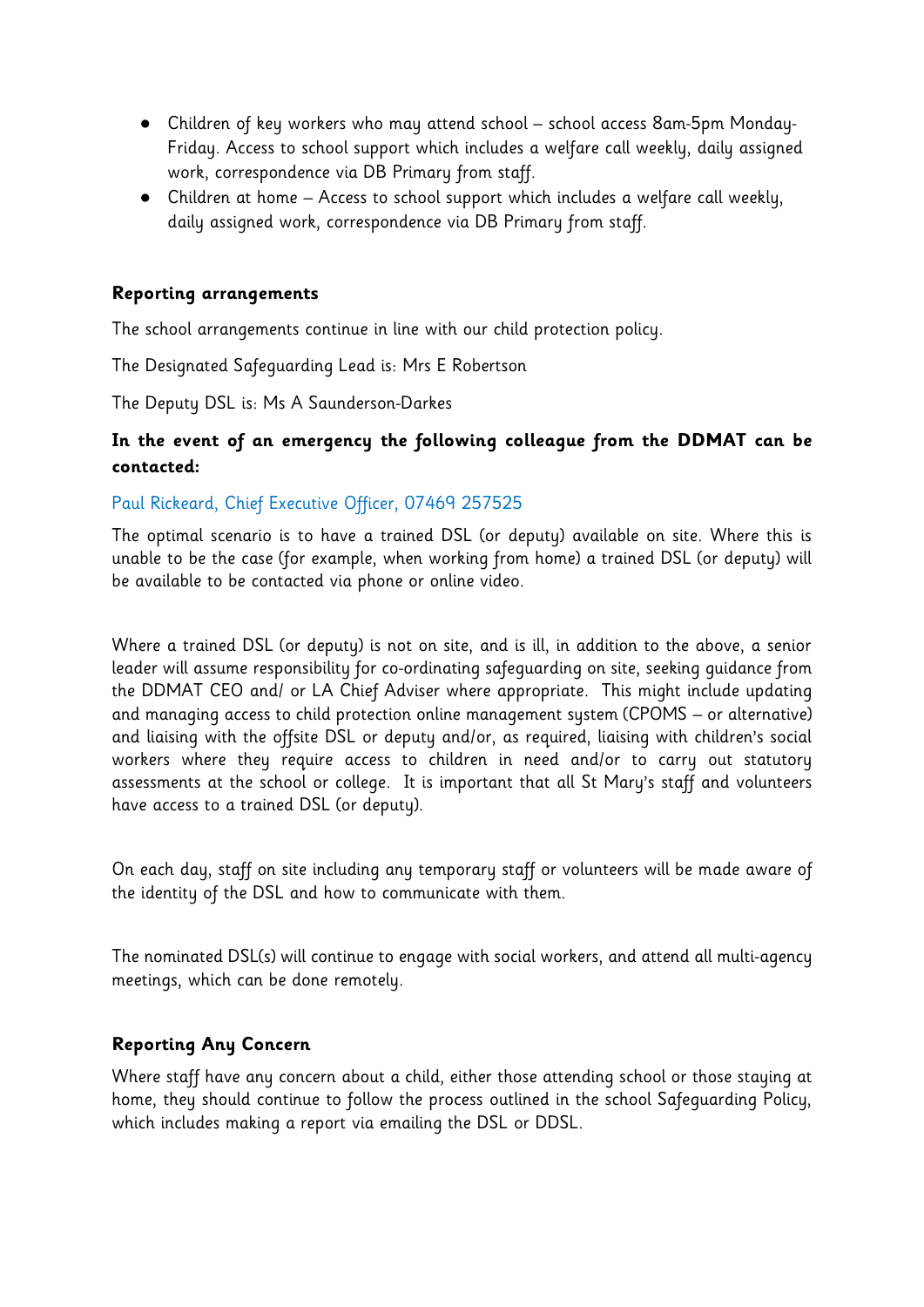- Children of key workers who may attend school school access 8am-5pm Monday-Friday. Access to school support which includes a welfare call weekly, daily assigned work, correspondence via DB Primary from staff.
- Children at home Access to school support which includes a welfare call weekly, daily assigned work, correspondence via DB Primary from staff.

### **Reporting arrangements**

The school arrangements continue in line with our child protection policy.

The Designated Safeguarding Lead is: Mrs E Robertson

The Deputy DSL is: Ms A Saunderson-Darkes

# **In the event of an emergency the following colleague from the DDMAT can be contacted:**

### Paul Rickeard, Chief Executive Officer, 07469 257525

The optimal scenario is to have a trained DSL (or deputy) available on site. Where this is unable to be the case (for example, when working from home) a trained DSL (or deputy) will be available to be contacted via phone or online video.

Where a trained DSL (or deputy) is not on site, and is ill, in addition to the above, a senior leader will assume responsibility for co-ordinating safeguarding on site, seeking guidance from the DDMAT CEO and/ or LA Chief Adviser where appropriate. This might include updating and managing access to child protection online management system (CPOMS – or alternative) and liaising with the offsite DSL or deputy and/or, as required, liaising with children's social workers where they require access to children in need and/or to carry out statutory assessments at the school or college. It is important that all St Mary's staff and volunteers have access to a trained DSL (or deputy).

On each day, staff on site including any temporary staff or volunteers will be made aware of the identity of the DSL and how to communicate with them.

The nominated DSL(s) will continue to engage with social workers, and attend all multi-agency meetings, which can be done remotely.

### **Reporting Any Concern**

Where staff have any concern about a child, either those attending school or those staying at home, they should continue to follow the process outlined in the school Safeguarding Policy, which includes making a report via emailing the DSL or DDSL.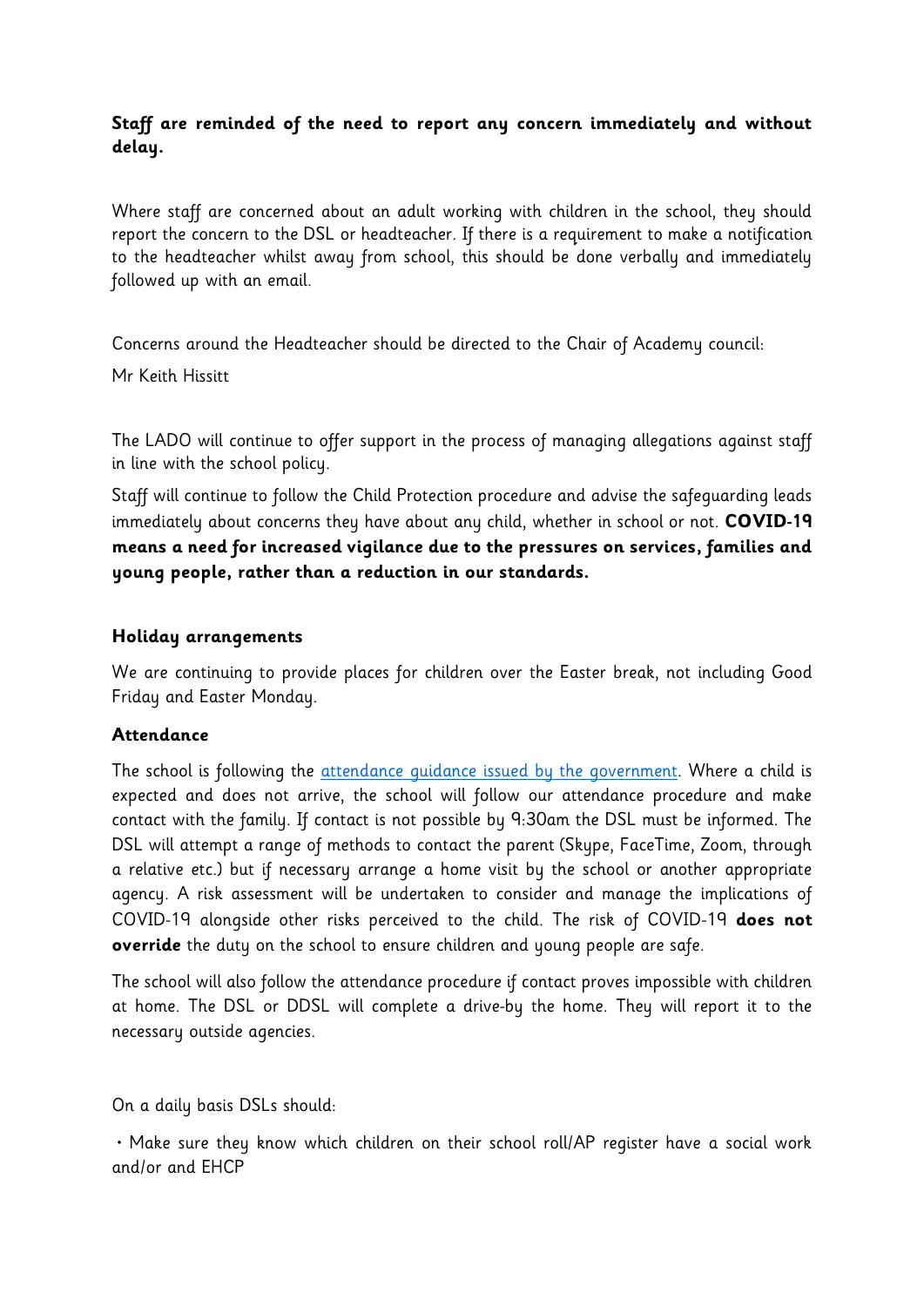# **Staff are reminded of the need to report any concern immediately and without delay.**

Where staff are concerned about an adult working with children in the school, they should report the concern to the DSL or headteacher. If there is a requirement to make a notification to the headteacher whilst away from school, this should be done verbally and immediately followed up with an email.

Concerns around the Headteacher should be directed to the Chair of Academy council: Mr Keith Hissitt

The LADO will continue to offer support in the process of managing allegations against staff in line with the school policy.

Staff will continue to follow the Child Protection procedure and advise the safeguarding leads immediately about concerns they have about any child, whether in school or not. **COVID-19 means a need for increased vigilance due to the pressures on services, families and young people, rather than a reduction in our standards.**

### **Holiday arrangements**

We are continuing to provide places for children over the Easter break, not including Good Friday and Easter Monday.

# **Attendance**

The school is following the [attendance guidance issued by the government.](https://www.gov.uk/government/publications/coronavirus-covid-19-attendance-recording-for-educational-settings) Where a child is expected and does not arrive, the school will follow our attendance procedure and make contact with the family. If contact is not possible by 9:30am the DSL must be informed. The DSL will attempt a range of methods to contact the parent (Skype, FaceTime, Zoom, through a relative etc.) but if necessary arrange a home visit by the school or another appropriate agency. A risk assessment will be undertaken to consider and manage the implications of COVID-19 alongside other risks perceived to the child. The risk of COVID-19 **does not override** the duty on the school to ensure children and young people are safe.

The school will also follow the attendance procedure if contact proves impossible with children at home. The DSL or DDSL will complete a drive-by the home. They will report it to the necessary outside agencies.

On a daily basis DSLs should:

• Make sure they know which children on their school roll/AP register have a social work and/or and EHCP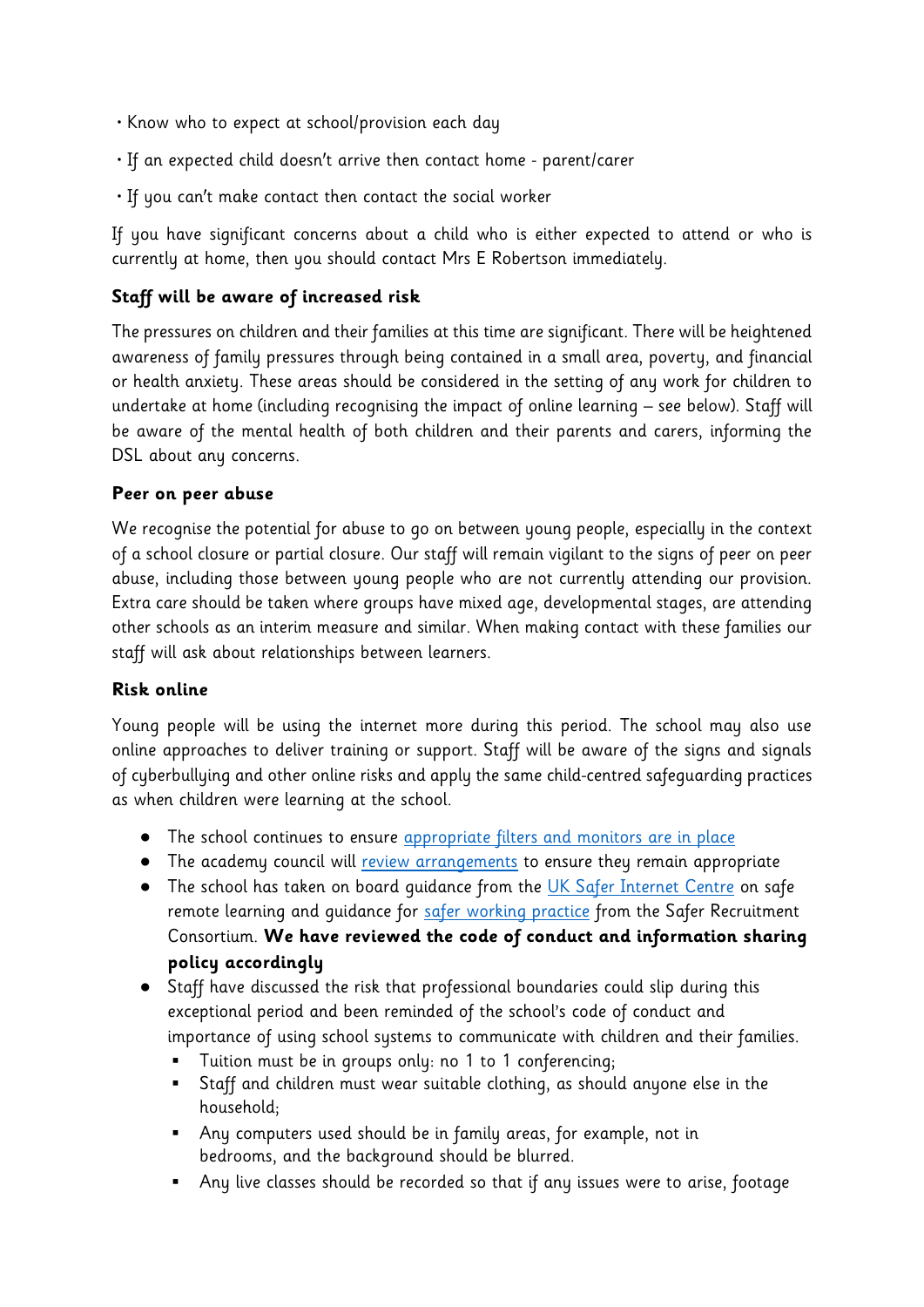- Know who to expect at school/provision each day
- If an expected child doesn't arrive then contact home parent/carer
- If you can't make contact then contact the social worker

If you have significant concerns about a child who is either expected to attend or who is currently at home, then you should contact Mrs E Robertson immediately.

# **Staff will be aware of increased risk**

The pressures on children and their families at this time are significant. There will be heightened awareness of family pressures through being contained in a small area, poverty, and financial or health anxiety. These areas should be considered in the setting of any work for children to undertake at home (including recognising the impact of online learning – see below). Staff will be aware of the mental health of both children and their parents and carers, informing the DSL about any concerns.

### **Peer on peer abuse**

We recognise the potential for abuse to go on between young people, especially in the context of a school closure or partial closure. Our staff will remain vigilant to the signs of peer on peer abuse, including those between young people who are not currently attending our provision. Extra care should be taken where groups have mixed age, developmental stages, are attending other schools as an interim measure and similar. When making contact with these families our staff will ask about relationships between learners.

### **Risk online**

Young people will be using the internet more during this period. The school may also use online approaches to deliver training or support. Staff will be aware of the signs and signals of cyberbullying and other online risks and apply the same child-centred safeguarding practices as when children were learning at the school.

- The school continues to ensure [appropriate filters and monitors are in place](https://www.saferinternet.org.uk/advice-centre/teachers-and-school-staff/appropriate-filtering-and-monitoring)
- The academy council will [review arrangements](https://www.gov.uk/government/publications/online-safety-in-schools-and-colleges-questions-from-the-governing-board) to ensure they remain appropriate
- The school has taken on board quidance from the [UK Safer Internet Centre](https://swgfl.org.uk/resources/safe-remote-learning/) on safe remote learning and quidance for [safer working practice](https://www.saferrecruitmentconsortium.org/GSWP%20Sept%202019.pdf) from the Safer Recruitment Consortium. **We have reviewed the code of conduct and information sharing policy accordingly**
- Staff have discussed the risk that professional boundaries could slip during this exceptional period and been reminded of the school's code of conduct and importance of using school systems to communicate with children and their families.
	- Tuition must be in groups only: no 1 to 1 conferencing;
	- Staff and children must wear suitable clothing, as should anyone else in the household;
	- Any computers used should be in family areas, for example, not in bedrooms, and the background should be blurred.
	- Any live classes should be recorded so that if any issues were to arise, footage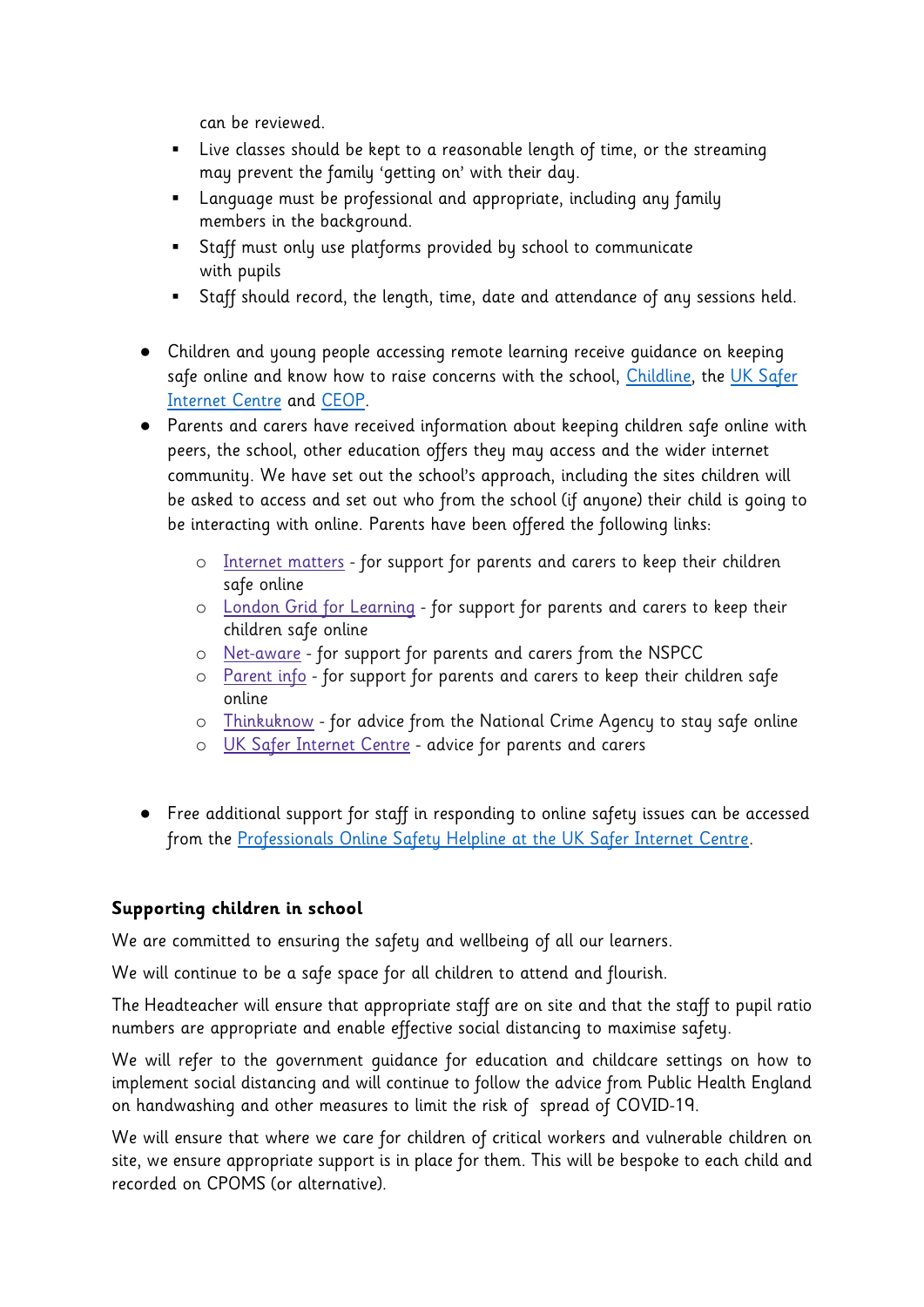can be reviewed.

- Live classes should be kept to a reasonable length of time, or the streaming may prevent the family 'getting on' with their day.
- Language must be professional and appropriate, including any family members in the background.
- Staff must only use platforms provided by school to communicate with pupils
- Staff should record, the length, time, date and attendance of any sessions held.
- Children and young people accessing remote learning receive guidance on keeping safe online and know how to raise concerns with the school, [Childline,](https://www.childline.org.uk/?utm_source=google&utm_medium=cpc&utm_campaign=UK_GO_S_B_BND_Grant_Childline_Information&utm_term=role_of_childline&gclsrc=aw.ds&&gclid=EAIaIQobChMIlfLRh-ez6AIVRrDtCh1N9QR2EAAYASAAEgLc-vD_BwE&gclsrc=aw.ds) the UK Safer [Internet Centre](https://reportharmfulcontent.com/) and [CEOP.](https://www.ceop.police.uk/safety-centre/)
- Parents and carers have received information about keeping children safe online with peers, the school, other education offers they may access and the wider internet community. We have set out the school's approach, including the sites children will be asked to access and set out who from the school (if anyone) their child is going to be interacting with online. Parents have been offered the following links:
	- o [Internet matters](https://www.internetmatters.org/?gclid=EAIaIQobChMIktuA5LWK2wIVRYXVCh2afg2aEAAYASAAEgIJ5vD_BwE) for support for parents and carers to keep their children safe online
	- o [London Grid for Learning](http://www.lgfl.net/online-safety/) for support for parents and carers to keep their children safe online
	- o [Net-aware](https://www.net-aware.org.uk/) for support for parents and carers from the NSPCC
	- o [Parent info](https://parentinfo.org/) for support for parents and carers to keep their children safe online
	- o [Thinkuknow](http://www.thinkuknow.co.uk/) for advice from the National Crime Agency to stay safe online
	- o [UK Safer Internet Centre](https://www.saferinternet.org.uk/advice-centre/parents-and-carers) advice for parents and carers
- Free additional support for staff in responding to online safety issues can be accessed from the [Professionals Online Safety Helpline at the UK Safer Internet Centre.](https://www.saferinternet.org.uk/helpline/professionals-online-safety-helpline)

# **Supporting children in school**

We are committed to ensuring the safety and wellbeing of all our learners.

We will continue to be a safe space for all children to attend and flourish.

The Headteacher will ensure that appropriate staff are on site and that the staff to pupil ratio numbers are appropriate and enable effective social distancing to maximise safety.

We will refer to the government guidance for education and childcare settings on how to implement social distancing and will continue to follow the advice from Public Health England on handwashing and other measures to limit the risk of spread of COVID-19.

We will ensure that where we care for children of critical workers and vulnerable children on site, we ensure appropriate support is in place for them. This will be bespoke to each child and recorded on CPOMS (or alternative).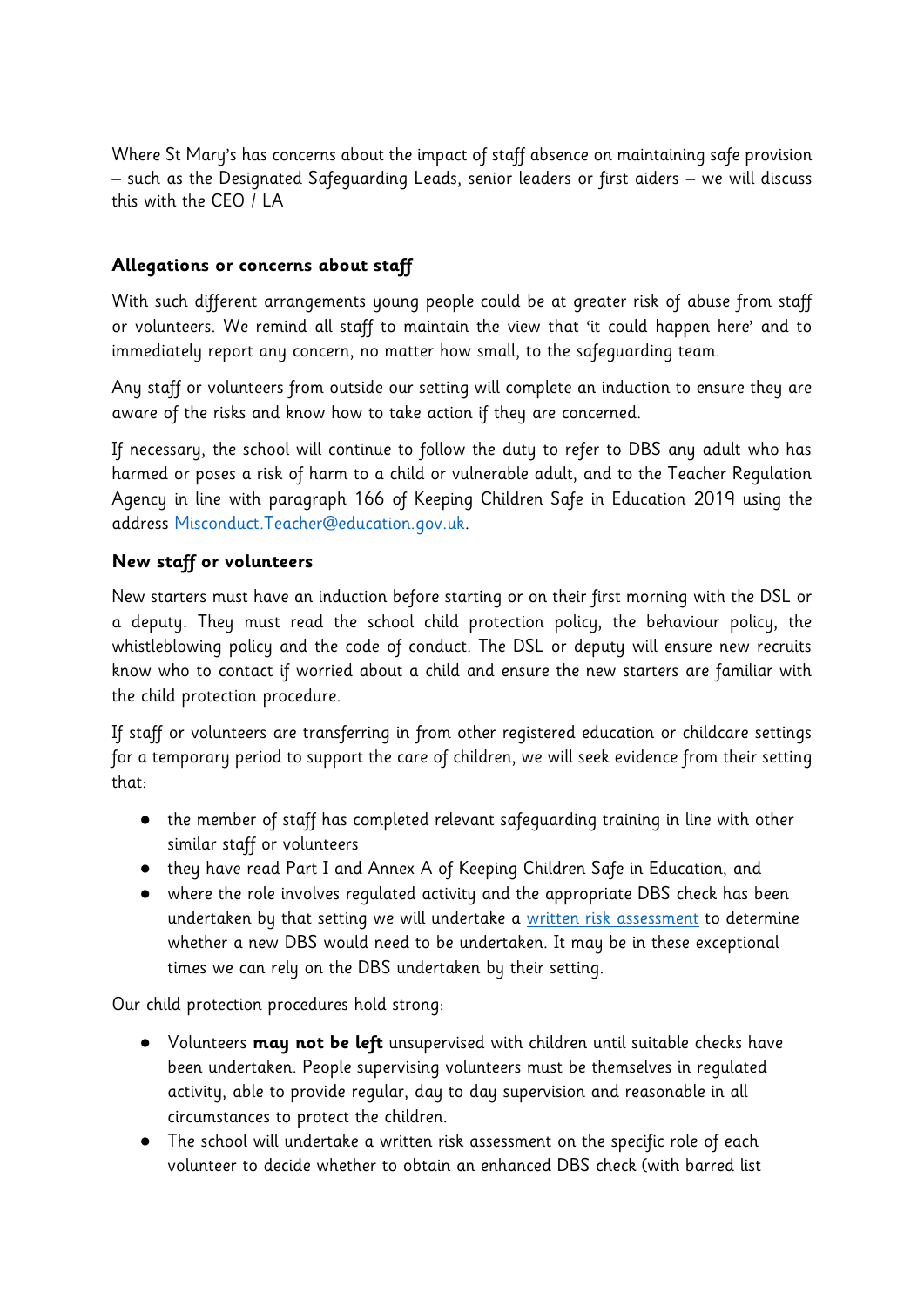Where St Mary's has concerns about the impact of staff absence on maintaining safe provision – such as the Designated Safeguarding Leads, senior leaders or first aiders – we will discuss this with the CEO / LA

# **Allegations or concerns about staff**

With such different arrangements young people could be at greater risk of abuse from staff or volunteers. We remind all staff to maintain the view that 'it could happen here' and to immediately report any concern, no matter how small, to the safeguarding team.

Any staff or volunteers from outside our setting will complete an induction to ensure they are aware of the risks and know how to take action if they are concerned.

If necessary, the school will continue to follow the duty to refer to DBS any adult who has harmed or poses a risk of harm to a child or vulnerable adult, and to the Teacher Regulation Agency in line with paragraph 166 of Keeping Children Safe in Education 2019 using the address [Misconduct.Teacher@education.gov.uk.](mailto:Misconduct.Teacher@education.gov.uk)

# **New staff or volunteers**

New starters must have an induction before starting or on their first morning with the DSL or a deputy. They must read the school child protection policy, the behaviour policy, the whistleblowing policy and the code of conduct. The DSL or deputy will ensure new recruits know who to contact if worried about a child and ensure the new starters are familiar with the child protection procedure.

If staff or volunteers are transferring in from other registered education or childcare settings for a temporary period to support the care of children, we will seek evidence from their setting that:

- the member of staff has completed relevant safeguarding training in line with other similar staff or volunteers
- they have read Part I and Annex A of Keeping Children Safe in Education, and
- where the role involves regulated activity and the appropriate DBS check has been undertaken by that setting we will undertake a [written risk assessment](https://www.saferrecruitmentconsortium.org/Risk%20Assessment%20for%20Volunteers%20PRINT%20VERSION%20Wardell%20Associates.docx) to determine whether a new DBS would need to be undertaken. It may be in these exceptional times we can rely on the DBS undertaken by their setting.

Our child protection procedures hold strong:

- Volunteers **may not be left** unsupervised with children until suitable checks have been undertaken. People supervising volunteers must be themselves in regulated activity, able to provide regular, day to day supervision and reasonable in all circumstances to protect the children.
- The school will undertake a written risk assessment on the specific role of each volunteer to decide whether to obtain an enhanced DBS check (with barred list